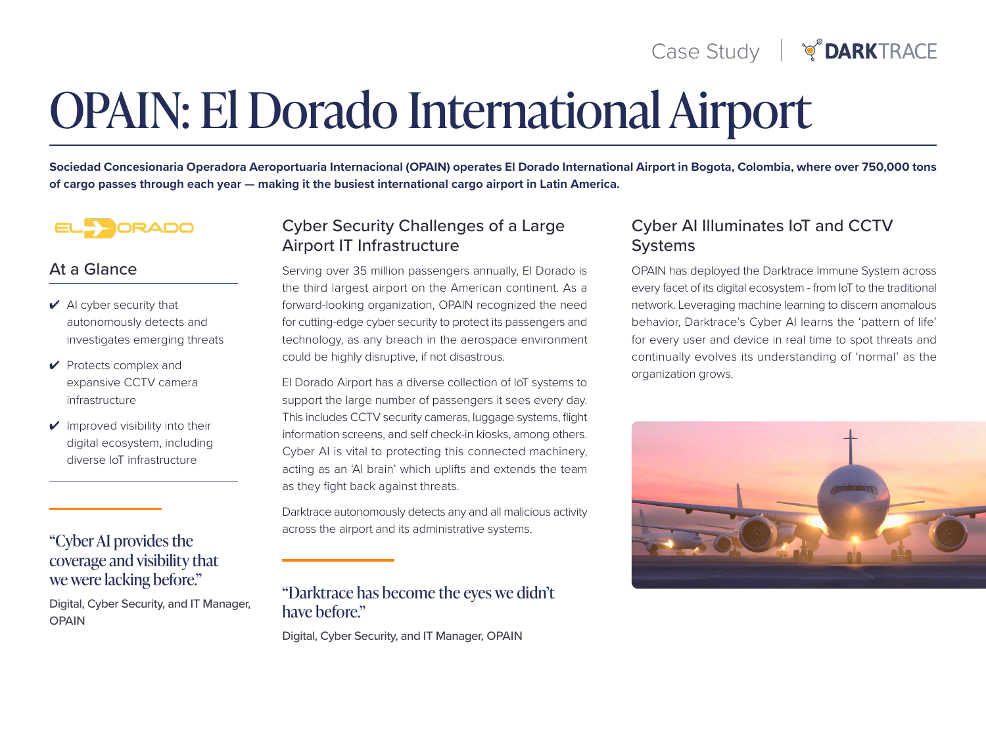# **OPAIN: El Dorado International Airport**

Sociedad Concesionaria Operadora Aeroportuaria Internacional (OPAIN) operates El Dorado International Airport in Bogota, Colombia, where over 750,000 tons of cargo passes through each year — making it the busiest international cargo airport in Latin America.



## At a Glance

- $\vee$  AI cyber security that autonomously detects and investigates emerging threats
- $\vee$  Protects complex and expansive CCTV camera infrastructure
- $\vee$  Improved visibility into their digital ecosystem, including diverse IoT infrastructure

# "Cyber AI provides the coverage and visibility that we were lacking before."

Digital, Cyber Security, and IT Manager, **OPAIN** 

# Cyber Security Challenges of a Large **Airport IT Infrastructure**

Serving over 35 million passengers annually. El Dorado is the third largest airport on the American continent. As a forward-looking organization, OPAIN recognized the need for cutting-edge cyber security to protect its passengers and technology, as any breach in the aerospace environment could be highly disruptive, if not disastrous.

El Dorado Airport has a diverse collection of IoT systems to support the large number of passengers it sees every day. This includes CCTV security cameras, luggage systems, flight information screens, and self check-in kiosks, among others. Cyber AI is vital to protecting this connected machinery, acting as an 'AI brain' which uplifts and extends the team as they fight back against threats.

Darktrace autonomously detects any and all malicious activity across the airport and its administrative systems.

"Darktrace has become the eyes we didn't have before."

Digital, Cyber Security, and IT Manager, OPAIN

# Cyber AI Illuminates IoT and CCTV **Systems**

OPAIN has deployed the Darktrace Immune System across every facet of its digital ecosystem - from IoT to the traditional network. Leveraging machine learning to discern anomalous behavior, Darktrace's Cyber AI learns the 'pattern of life' for every user and device in real time to spot threats and continually evolves its understanding of 'normal' as the organization grows.